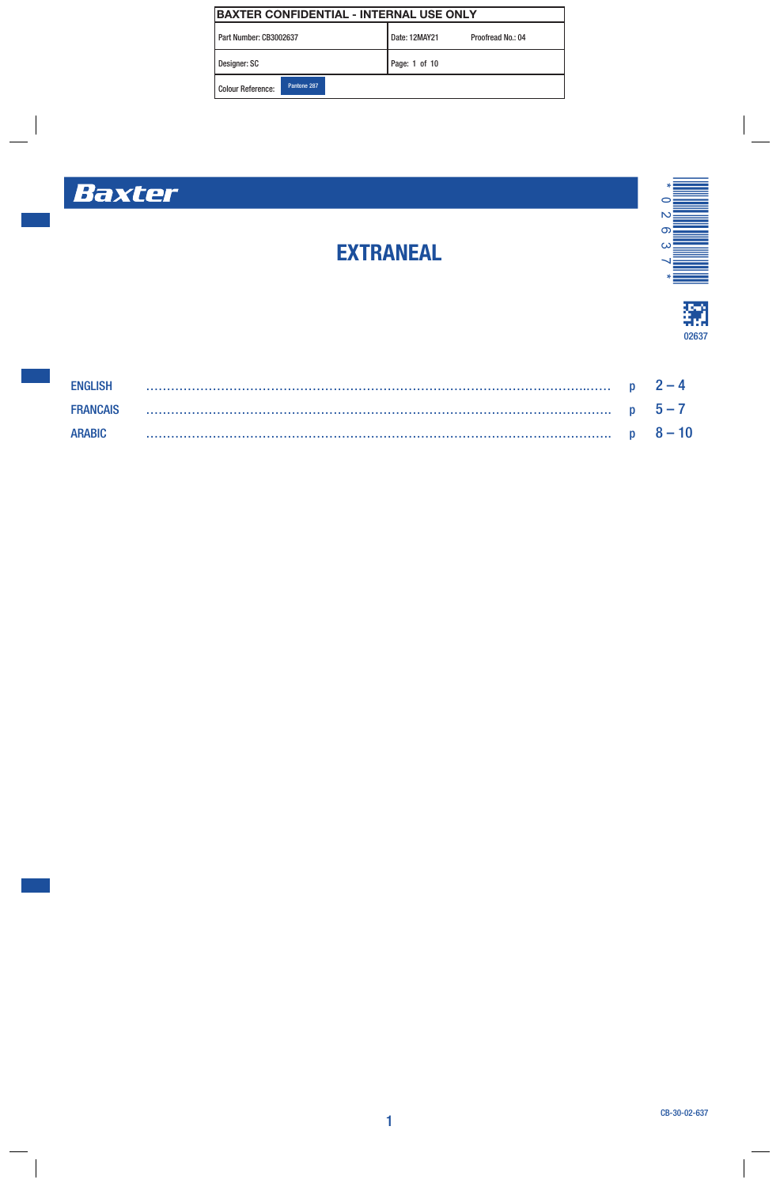| BAXTER CONFIDENTIAL - INTERNAL USE ONLY |                                    |  |  |  |  |
|-----------------------------------------|------------------------------------|--|--|--|--|
| Part Number: CB3002637                  | Date: 12MAY21<br>Proofread No.: 04 |  |  |  |  |
| Designer: SC                            | Page: 1 of 10                      |  |  |  |  |
| Pantone 287<br>Colour Reference:        |                                    |  |  |  |  |

# Baxter



# 獿 02637

# ENGLISH …………………………………………………………………………………………….…… p 2 – 4 FRANCAIS …………………………………………………………………………………………………. p 5 – 7 ARABIC …………………………………………………………………………………………………. p 8 – 10

EXTRANEAL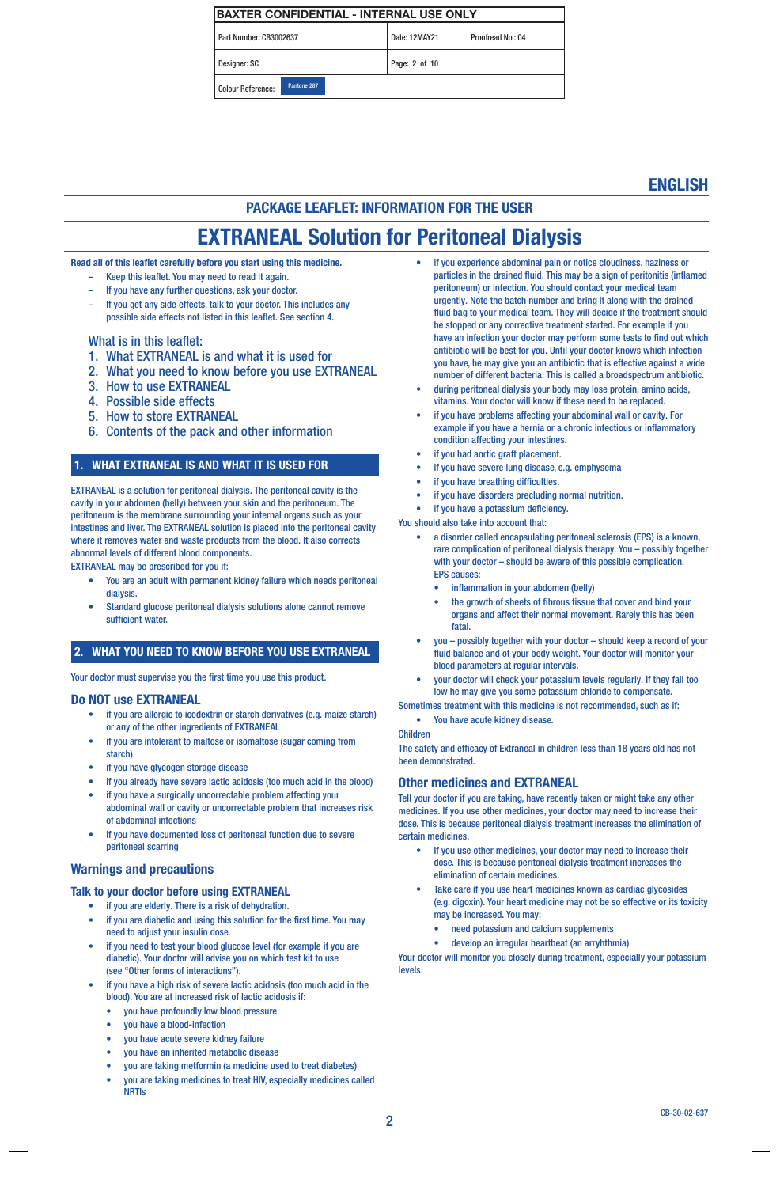| IBAXTER CONFIDENTIAL - INTERNAL USE ONLY |             |  |               |                   |  |
|------------------------------------------|-------------|--|---------------|-------------------|--|
| Part Number: CB3002637                   |             |  | Date: 12MAY21 | Proofread No.: 04 |  |
| Designer: SC                             |             |  | Page: 2 of 10 |                   |  |
| <b>Colour Reference:</b>                 | Pantone 287 |  |               |                   |  |

# ENGLISH

### PACKAGE LEAFLET: INFORMATION FOR THE USER

# EXTRANEAL Solution for Peritoneal Dialysis

Read all of this leaflet carefully before you start using this medicine.

- Keep this leaflet. You may need to read it again.
- If you have any further questions, ask your doctor.
- If you get any side effects, talk to your doctor. This includes any possible side effects not listed in this leaflet. See section 4.

#### What is in this leaflet:

- 1. What EXTRANEAL is and what it is used for
- 2. What you need to know before you use EXTRANEAL
- 3. How to use EXTRANEAL
- 4. Possible side effects
- 5. How to store EXTRANEAL
- 6. Contents of the pack and other information

#### 1. WHAT EXTRANEAL IS AND WHAT IT IS USED FOR

EXTRANEAL is a solution for peritoneal dialysis. The peritoneal cavity is the cavity in your abdomen (belly) between your skin and the peritoneum. The peritoneum is the membrane surrounding your internal organs such as your intestines and liver. The EXTRANEAL solution is placed into the peritoneal cavity where it removes water and waste products from the blood. It also corrects abnormal levels of different blood components.

EXTRANEAL may be prescribed for you if:

- You are an adult with permanent kidney failure which needs peritoneal dialysis.
- Standard glucose peritoneal dialysis solutions alone cannot remove sufficient water.

#### 2. WHAT YOU NEED TO KNOW BEFORE YOU USE EXTRANEAL

Your doctor must supervise you the first time you use this product.

#### Do NOT use EXTRANEAL

- if you are allergic to icodextrin or starch derivatives (e.g. maize starch) or any of the other ingredients of EXTRANEAL
- if you are intolerant to maltose or isomaltose (sugar coming from starch)
- if you have glycogen storage disease
- if you already have severe lactic acidosis (too much acid in the blood)
- if you have a surgically uncorrectable problem affecting your abdominal wall or cavity or uncorrectable problem that increases risk of abdominal infections
- if you have documented loss of peritoneal function due to severe peritoneal scarring

#### Warnings and precautions

#### Talk to your doctor before using EXTRANEAL

- if you are elderly. There is a risk of dehydration.
- if you are diabetic and using this solution for the first time. You may need to adjust your insulin dose.
- if you need to test your blood glucose level (for example if you are diabetic). Your doctor will advise you on which test kit to use (see "Other forms of interactions").
- if you have a high risk of severe lactic acidosis (too much acid in the blood). You are at increased risk of lactic acidosis if:
	- you have profoundly low blood pressure
	- you have a blood-infection
	- you have acute severe kidney failure
	- you have an inherited metabolic disease
	- you are taking metformin (a medicine used to treat diabetes)
	- you are taking medicines to treat HIV, especially medicines called NRTIs
- if you experience abdominal pain or notice cloudiness, haziness or particles in the drained fluid. This may be a sign of peritonitis (inflamed peritoneum) or infection. You should contact your medical team urgently. Note the batch number and bring it along with the drained fluid bag to your medical team. They will decide if the treatment should be stopped or any corrective treatment started. For example if you have an infection your doctor may perform some tests to find out which antibiotic will be best for you. Until your doctor knows which infection you have, he may give you an antibiotic that is effective against a wide number of different bacteria. This is called a broadspectrum antibiotic.
- during peritoneal dialysis your body may lose protein, amino acids, vitamins. Your doctor will know if these need to be replaced.
- if you have problems affecting your abdominal wall or cavity. For example if you have a hernia or a chronic infectious or inflammatory condition affecting your intestines.
- if you had aortic graft placement.
- if you have severe lung disease, e.g. emphysema
- if you have breathing difficulties.
- if you have disorders precluding normal nutrition.
- if you have a potassium deficiency.
- You should also take into account that:
	- a disorder called encapsulating peritoneal sclerosis (EPS) is a known, rare complication of peritoneal dialysis therapy. You – possibly together with your doctor – should be aware of this possible complication. EPS causes:
		- inflammation in your abdomen (belly)
		- the growth of sheets of fibrous tissue that cover and bind your organs and affect their normal movement. Rarely this has been **fatal**
	- you possibly together with your doctor should keep a record of your fluid balance and of your body weight. Your doctor will monitor your blood parameters at regular intervals.
	- your doctor will check your potassium levels regularly. If they fall too low he may give you some potassium chloride to compensate.

Sometimes treatment with this medicine is not recommended, such as if: You have acute kidney disease.

Children

The safety and efficacy of Extraneal in children less than 18 years old has not been demonstrated.

#### Other medicines and EXTRANEAL

Tell your doctor if you are taking, have recently taken or might take any other medicines. If you use other medicines, your doctor may need to increase their dose. This is because peritoneal dialysis treatment increases the elimination of certain medicines.

- If you use other medicines, your doctor may need to increase their dose. This is because peritoneal dialysis treatment increases the elimination of certain medicines.
- Take care if you use heart medicines known as cardiac glycosides (e.g. digoxin). Your heart medicine may not be so effective or its toxicity may be increased. You may:
	- need potassium and calcium supplements
	- develop an irregular heartbeat (an arryhthmia)

Your doctor will monitor you closely during treatment, especially your potassium levels.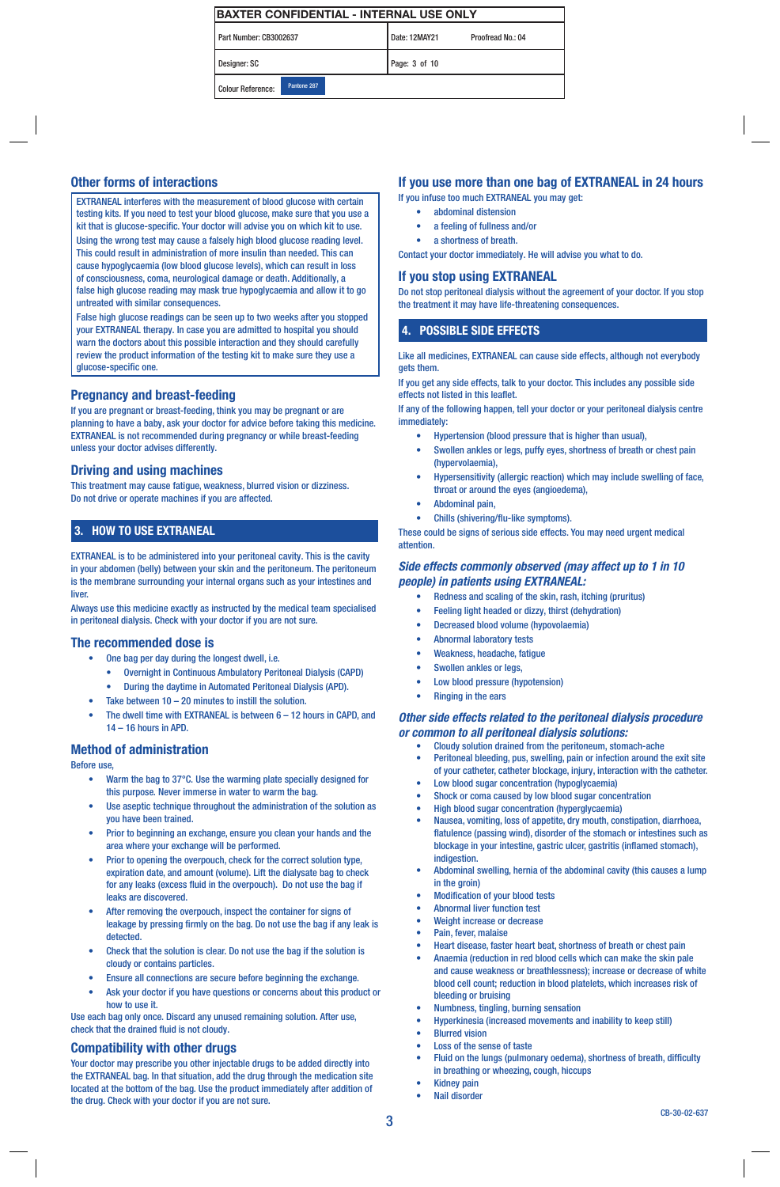Part Number: CB3002637 Date: 12MAY21 Proofread No.: 04 Designer: SC Page: 3 of 10

Colour Reference: Pantone 287

### Other forms of interactions

EXTRANEAL interferes with the measurement of blood glucose with certain testing kits. If you need to test your blood glucose, make sure that you use a kit that is glucose-specific. Your doctor will advise you on which kit to use. Using the wrong test may cause a falsely high blood glucose reading level. This could result in administration of more insulin than needed. This can cause hypoglycaemia (low blood glucose levels), which can result in loss of consciousness, coma, neurological damage or death. Additionally, a false high glucose reading may mask true hypoglycaemia and allow it to go untreated with similar consequences.

False high glucose readings can be seen up to two weeks after you stopped your EXTRANEAL therapy. In case you are admitted to hospital you should warn the doctors about this possible interaction and they should carefully review the product information of the testing kit to make sure they use a glucose-specific one.

#### Pregnancy and breast-feeding

If you are pregnant or breast-feeding, think you may be pregnant or are planning to have a baby, ask your doctor for advice before taking this medicine. EXTRANEAL is not recommended during pregnancy or while breast-feeding unless your doctor advises differently.

#### Driving and using machines

This treatment may cause fatigue, weakness, blurred vision or dizziness. Do not drive or operate machines if you are affected.

### 3. HOW TO USE EXTRANEAL

EXTRANEAL is to be administered into your peritoneal cavity. This is the cavity in your abdomen (belly) between your skin and the peritoneum. The peritoneum is the membrane surrounding your internal organs such as your intestines and **liver.** 

Always use this medicine exactly as instructed by the medical team specialised in peritoneal dialysis. Check with your doctor if you are not sure.

#### The recommended dose is

- One bag per day during the longest dwell, i.e.
	- Overnight in Continuous Ambulatory Peritoneal Dialysis (CAPD)
	- During the daytime in Automated Peritoneal Dialysis (APD).
- Take between  $10 20$  minutes to instill the solution.
- The dwell time with EXTRANEAL is between  $6 12$  hours in CAPD, and 14 – 16 hours in APD.

#### Method of administration

Before use,

- Warm the bag to 37°C. Use the warming plate specially designed for this purpose. Never immerse in water to warm the bag.
- Use aseptic technique throughout the administration of the solution as you have been trained.
- Prior to beginning an exchange, ensure you clean your hands and the area where your exchange will be performed.
- Prior to opening the overpouch, check for the correct solution type, expiration date, and amount (volume). Lift the dialysate bag to check for any leaks (excess fluid in the overpouch). Do not use the bag if leaks are discovered.
- After removing the overpouch, inspect the container for signs of leakage by pressing firmly on the bag. Do not use the bag if any leak is detected.
- Check that the solution is clear. Do not use the bag if the solution is cloudy or contains particles.
- Ensure all connections are secure before beginning the exchange.
- Ask your doctor if you have questions or concerns about this product or how to use it.

Use each bag only once. Discard any unused remaining solution. After use, check that the drained fluid is not cloudy.

### Compatibility with other drugs

Your doctor may prescribe you other injectable drugs to be added directly into the EXTRANEAL bag. In that situation, add the drug through the medication site located at the bottom of the bag. Use the product immediately after addition of the drug. Check with your doctor if you are not sure.

### If you use more than one bag of EXTRANEAL in 24 hours

If you infuse too much EXTRANEAL you may get:

- abdominal distension
- a feeling of fullness and/or
- a shortness of breath.

Contact your doctor immediately. He will advise you what to do.

### If you stop using EXTRANEAL

Do not stop peritoneal dialysis without the agreement of your doctor. If you stop the treatment it may have life-threatening consequences.

### 4. POSSIBLE SIDE EFFECTS

Like all medicines, EXTRANEAL can cause side effects, although not everybody gets them.

If you get any side effects, talk to your doctor. This includes any possible side effects not listed in this leaflet.

If any of the following happen, tell your doctor or your peritoneal dialysis centre immediately:

- Hypertension (blood pressure that is higher than usual),
- Swollen ankles or legs, puffy eyes, shortness of breath or chest pain (hypervolaemia),
- Hypersensitivity (allergic reaction) which may include swelling of face, throat or around the eyes (angioedema),
- Abdominal pain,
- Chills (shivering/flu-like symptoms).

These could be signs of serious side effects. You may need urgent medical attention.

#### *Side effects commonly observed (may affect up to 1 in 10 people) in patients using EXTRANEAL:*

- Redness and scaling of the skin, rash, itching (pruritus)
- Feeling light headed or dizzy, thirst (dehydration)
- Decreased blood volume (hypovolaemia)
- Abnormal laboratory tests
- Weakness, headache, fatigue
- Swollen ankles or legs,
- Low blood pressure (hypotension)
- **Ringing in the ears**

#### *Other side effects related to the peritoneal dialysis procedure or common to all peritoneal dialysis solutions:*

- Cloudy solution drained from the peritoneum, stomach-ache
- Peritoneal bleeding, pus, swelling, pain or infection around the exit site of your catheter, catheter blockage, injury, interaction with the catheter.
- Low blood sugar concentration (hypoglycaemia) Shock or coma caused by low blood sugar concentration
- High blood sugar concentration (hyperglycaemia)
- Nausea, vomiting, loss of appetite, dry mouth, constipation, diarrhoea, flatulence (passing wind), disorder of the stomach or intestines such as blockage in your intestine, gastric ulcer, gastritis (inflamed stomach), indigestion.
- Abdominal swelling, hernia of the abdominal cavity (this causes a lump in the groin)
- Modification of your blood tests
- Abnormal liver function test
- Weight increase or decrease
- Pain, fever, malaise
- Heart disease, faster heart beat, shortness of breath or chest pain
- Anaemia (reduction in red blood cells which can make the skin pale and cause weakness or breathlessness); increase or decrease of white blood cell count; reduction in blood platelets, which increases risk of bleeding or bruising
- Numbness, tingling, burning sensation
- Hyperkinesia (increased movements and inability to keep still)
- **Blurred vision**
- Loss of the sense of taste
- Fluid on the lungs (pulmonary oedema), shortness of breath, difficulty in breathing or wheezing, cough, hiccups
	- Kidney pain
- Nail disorder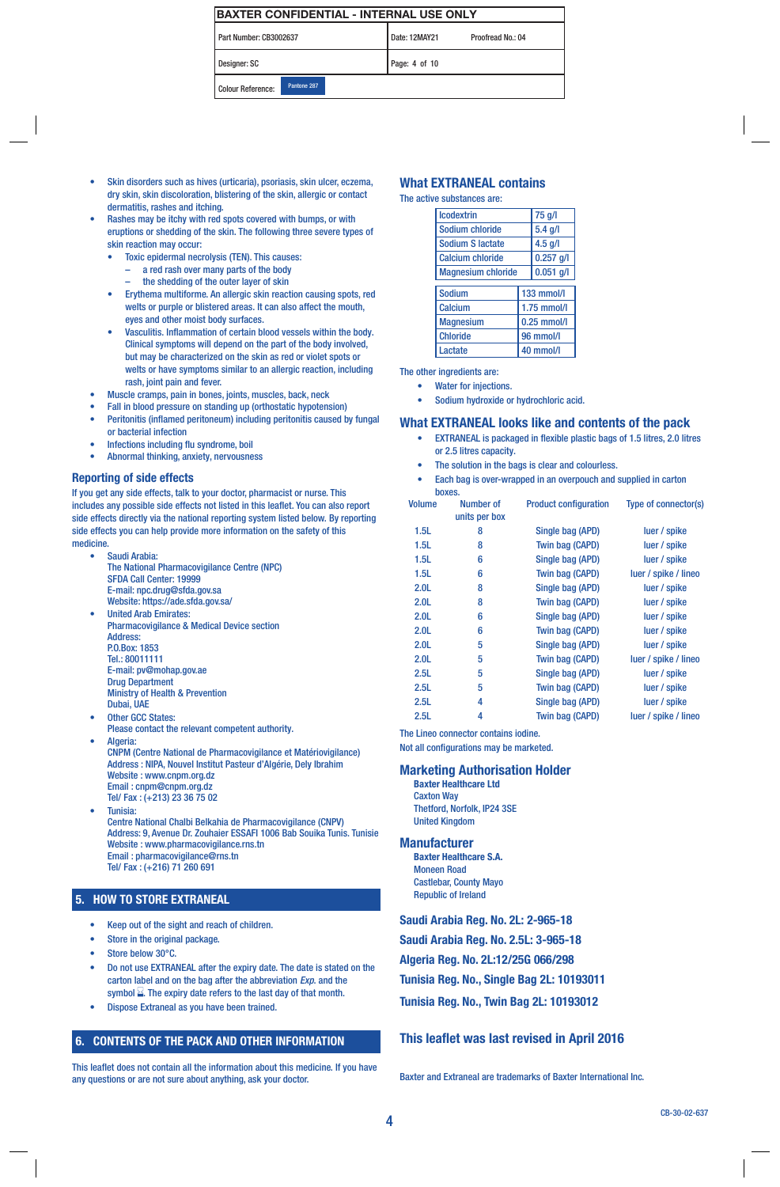| Part Number: CB3002637 | Date: 12MAY21 | Proofread No.: 04 |
|------------------------|---------------|-------------------|
|                        |               |                   |

Designer: SC Page: 4 of 10

Colour Reference: Pantone 287

- Skin disorders such as hives (urticaria), psoriasis, skin ulcer, eczema, dry skin, skin discoloration, blistering of the skin, allergic or contact dermatitis, rashes and itching.
- Rashes may be itchy with red spots covered with bumps, or with eruptions or shedding of the skin. The following three severe types of skin reaction may occur:
	- Toxic epidermal necrolysis (TEN). This causes:
		- a red rash over many parts of the body
		- the shedding of the outer layer of skin
	- Erythema multiforme. An allergic skin reaction causing spots, red welts or purple or blistered areas. It can also affect the mouth, eyes and other moist body surfaces.
	- Vasculitis. Inflammation of certain blood vessels within the body. Clinical symptoms will depend on the part of the body involved, but may be characterized on the skin as red or violet spots or welts or have symptoms similar to an allergic reaction, including rash, joint pain and fever.
- Muscle cramps, pain in bones, joints, muscles, back, neck
- Fall in blood pressure on standing up (orthostatic hypotension)
- Peritonitis (inflamed peritoneum) including peritonitis caused by fungal or bacterial infection
- Infections including flu syndrome, boil
- Abnormal thinking, anxiety, nervousness

#### Reporting of side effects

If you get any side effects, talk to your doctor, pharmacist or nurse. This includes any possible side effects not listed in this leaflet. You can also report side effects directly via the national reporting system listed below. By reporting side effects you can help provide more information on the safety of this medicine.

- Saudi Arabia: The National Pharmacovigilance Centre (NPC) SFDA Call Center: 19999 E-mail: npc.drug@sfda.gov.sa Website: https://ade.sfda.gov.sa/ • United Arab Emirates: Pharmacovigilance & Medical Device section Address: P.O.Box: 1853 Tel.: 80011111 E-mail: pv@mohap.gov.ae Drug Department
- Ministry of Health & Prevention
- Dubai, UAE **Other GCC States:**
- Please contact the relevant competent authority. Algeria:
- CNPM (Centre National de Pharmacovigilance et Matériovigilance) Address : NIPA, Nouvel Institut Pasteur d'Algérie, Dely Ibrahim Website : www.cnpm.org.dz Email : cnpm@cnpm.org.dz
- Tel/ Fax : (+213) 23 36 75 02 • Tunisia: Centre National Chalbi Belkahia de Pharmacovigilance (CNPV) Address: 9, Avenue Dr. Zouhaier ESSAFI 1006 Bab Souika Tunis. Tunisie Website : www.pharmacovigilance.rns.tn
	- Email : pharmacovigilance@rns.tn
	- Tel/ Fax : (+216) 71 260 691

#### 5. HOW TO STORE EXTRANEAL

- Keep out of the sight and reach of children.
- Store in the original package.
- Store below 30°C.
- Do not use EXTRANEAL after the expiry date. The date is stated on the carton label and on the bag after the abbreviation *Exp*. and the symbol  $\Sigma$ . The expiry date refers to the last day of that month.
- Dispose Extraneal as you have been trained.

#### 6. CONTENTS OF THE PACK AND OTHER INFORMATION

This leaflet does not contain all the information about this medicine. If you have any questions or are not sure about anything, ask your doctor.

#### What EXTRANEAL contains

The active substances are:

| <b>Icodextrin</b>         |           | 75 g/l            |  |
|---------------------------|-----------|-------------------|--|
| Sodium chloride           | $5.4$ g/l |                   |  |
| <b>Sodium S lactate</b>   |           | $4.5$ g/l         |  |
| <b>Calcium chloride</b>   |           | $0.257$ q/l       |  |
| <b>Magnesium chloride</b> |           | $0.051$ q/l       |  |
|                           |           | <b>133 mmol/l</b> |  |
| <b>Sodium</b>             |           |                   |  |
| <b>Calcium</b>            |           | 1.75 mmol/l       |  |
| <b>Magnesium</b>          |           | $0.25$ mmol/l     |  |
| <b>Chloride</b>           |           | <b>96 mmol/l</b>  |  |
| Lactate                   |           | 40 mmol/l         |  |

The other ingredients are:

- Water for injections.
- Sodium hydroxide or hydrochloric acid.

#### What EXTRANEAL looks like and contents of the pack

- EXTRANEAL is packaged in flexible plastic bags of 1.5 litres, 2.0 litres or 2.5 litres capacity.
- The solution in the bags is clear and colourless.
- Each bag is over-wrapped in an overpouch and supplied in carton boxes.

| <b>Volume</b>    | <b>Number of</b><br>units per box | <b>Product configuration</b> | <b>Type of connector(s)</b> |
|------------------|-----------------------------------|------------------------------|-----------------------------|
| 1.5L             | 8                                 | Single bag (APD)             | luer / spike                |
| 1.5L             | 8                                 | <b>Twin bag (CAPD)</b>       | luer / spike                |
| 1.5L             | 6                                 | Single bag (APD)             | luer / spike                |
| 1.5L             | 6                                 | Twin bag (CAPD)              | luer / spike / lineo        |
| 2.0 <sub>L</sub> | 8                                 | Single bag (APD)             | luer / spike                |
| 2.0 <sub>L</sub> | 8                                 | <b>Twin bag (CAPD)</b>       | luer / spike                |
| 2.0 <sub>L</sub> | 6                                 | Single bag (APD)             | luer / spike                |
| 2.0 <sub>L</sub> | 6                                 | Twin bag (CAPD)              | luer / spike                |
| 2.0 <sub>L</sub> | 5                                 | Single bag (APD)             | luer / spike                |
| 2.0 <sub>L</sub> | 5                                 | <b>Twin bag (CAPD)</b>       | luer / spike / lineo        |
| 2.5L             | 5                                 | Single bag (APD)             | luer / spike                |
| 2.5L             | 5                                 | <b>Twin bag (CAPD)</b>       | luer / spike                |
| 2.5L             | 4                                 | Single bag (APD)             | luer / spike                |
| 2.5L             | 4                                 | <b>Twin bag (CAPD)</b>       | luer / spike / lineo        |

The Lineo connector contains iodine.

Not all configurations may be marketed.

#### Marketing Authorisation Holder

Baxter Healthcare Ltd Caxton Way Thetford, Norfolk, IP24 3SE United Kingdom

#### **Manufacturer**

Baxter Healthcare S.A. Moneen Road Castlebar, County Mayo Republic of Ireland

Saudi Arabia Reg. No. 2L: 2-965-18

Saudi Arabia Reg. No. 2.5L: 3-965-18

Algeria Reg. No. 2L:12/25G 066/298

Tunisia Reg. No., Single Bag 2L: 10193011

Tunisia Reg. No., Twin Bag 2L: 10193012

#### This leaflet was last revised in April 2016

Baxter and Extraneal are trademarks of Baxter International Inc.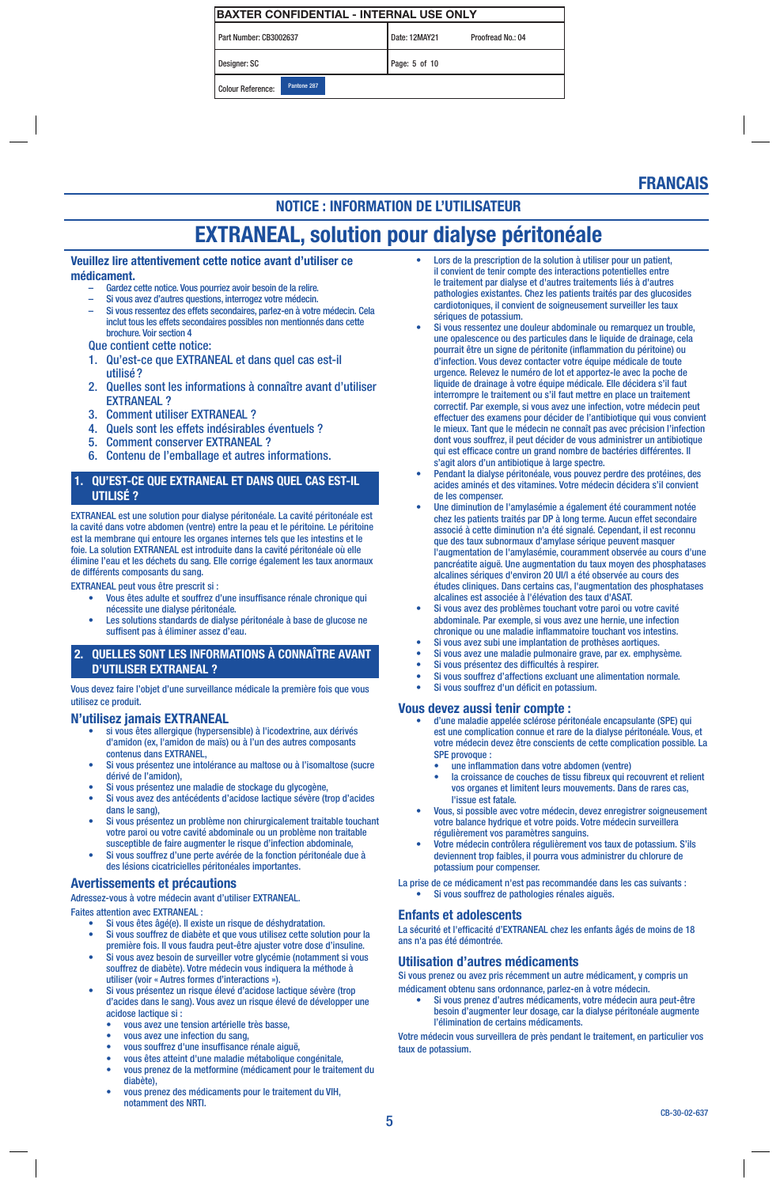| BAXTER CONFIDENTIAL - INTERNAL USE ONLY |             |  |               |                   |  |
|-----------------------------------------|-------------|--|---------------|-------------------|--|
| Part Number: CB3002637                  |             |  | Date: 12MAY21 | Proofread No.: 04 |  |
| Designer: SC                            |             |  | Page: 5 of 10 |                   |  |
| Colour Reference:                       | Pantone 287 |  |               |                   |  |

# FRANCAIS

### NOTICE : INFORMATION DE L'UTILISATEUR

# EXTRANEAL, solution pour dialyse péritonéale

#### Veuillez lire attentivement cette notice avant d'utiliser ce médicament.

- Gardez cette notice. Vous pourriez avoir besoin de la relire. – Si vous avez d'autres questions, interrogez votre médecin.
- Si vous ressentez des effets secondaires, parlez-en à votre médecin. Cela inclut tous les effets secondaires possibles non mentionnés dans cette brochure. Voir section 4

Que contient cette notice:

- 1. Qu'est-ce que EXTRANEAL et dans quel cas est-il utilisé ?
- 2. Quelles sont les informations à connaître avant d'utiliser EXTRANEAL ?
- 3. Comment utiliser EXTRANEAL ?<br>4. Quels sont les effets indésirable
- 4. Quels sont les effets indésirables éventuels ?
- 5. Comment conserver EXTRANEAL ?
- 6. Contenu de l'emballage et autres informations.

#### 1. QU'EST-CE QUE EXTRANEAL ET DANS QUEL CAS EST-IL UTILISÉ ?

EXTRANEAL est une solution pour dialyse péritonéale. La cavité péritonéale est la cavité dans votre abdomen (ventre) entre la peau et le péritoine. Le péritoine est la membrane qui entoure les organes internes tels que les intestins et le foie. La solution EXTRANEAL est introduite dans la cavité péritonéale où elle élimine l'eau et les déchets du sang. Elle corrige également les taux anormaux de différents composants du sang.

EXTRANEAL peut vous être prescrit si :

- Vous êtes adulte et souffrez d'une insuffisance rénale chronique qui nécessite une dialyse péritonéale.
- Les solutions standards de dialyse péritonéale à base de glucose ne suffisent pas à éliminer assez d'eau.

#### 2. QUELLES SONT LES INFORMATIONS À CONNAÎTRE AVANT D'UTILISER EXTRANEAL ?

Vous devez faire l'objet d'une surveillance médicale la première fois que vous utilisez ce produit.

#### N'utilisez jamais EXTRANEAL

- si vous êtes allergique (hypersensible) à l'icodextrine, aux dérivés d'amidon (ex, l'amidon de maïs) ou à l'un des autres composants contenus dans EXTRANEL,
- Si vous présentez une intolérance au maltose ou à l'isomaltose (sucre dérivé de l'amidon),
- Si vous présentez une maladie de stockage du glycogène, • Si vous avez des antécédents d'acidose lactique sévère (trop d'acides dans le sang),
- Si vous présentez un problème non chirurgicalement traitable touchant votre paroi ou votre cavité abdominale ou un problème non traitable susceptible de faire augmenter le risque d'infection abdominale,
- Si vous souffrez d'une perte avérée de la fonction péritonéale due à des lésions cicatricielles péritonéales importantes.

#### Avertissements et précautions

Adressez-vous à votre médecin avant d'utiliser EXTRANEAL. Faites attention avec EXTRANEAL :

- Si vous êtes âgé(e). Il existe un risque de déshydratation.
- Si vous souffrez de diabète et que vous utilisez cette solution pour la première fois. Il vous faudra peut-être ajuster votre dose d'insuline.
- Si vous avez besoin de surveiller votre glycémie (notamment si vous souffrez de diabète). Votre médecin vous indiquera la méthode à utiliser (voir « Autres formes d'interactions »).
- Si vous présentez un risque élevé d'acidose lactique sévère (trop d'acides dans le sang). Vous avez un risque élevé de développer une acidose lactique si :
	- vous avez une tension artérielle très basse,
	- vous avez une infection du sang,
	- vous souffrez d'une insuffisance rénale aiguë,
	- vous êtes atteint d'une maladie métabolique congénitale, • vous prenez de la metformine (médicament pour le traitement du diabète),
	- vous prenez des médicaments pour le traitement du VIH, notamment des NRTI.
- Lors de la prescription de la solution à utiliser pour un patient, il convient de tenir compte des interactions potentielles entre le traitement par dialyse et d'autres traitements liés à d'autres pathologies existantes. Chez les patients traités par des glucosides cardiotoniques, il convient de soigneusement surveiller les taux sériques de potassium.
- Si vous ressentez une douleur abdominale ou remarquez un trouble, une opalescence ou des particules dans le liquide de drainage, cela pourrait être un signe de péritonite (inflammation du péritoine) ou d'infection. Vous devez contacter votre équipe médicale de toute urgence. Relevez le numéro de lot et apportez-le avec la poche de liquide de drainage à votre équipe médicale. Elle décidera s'il faut interrompre le traitement ou s'il faut mettre en place un traitement correctif. Par exemple, si vous avez une infection, votre médecin peut effectuer des examens pour décider de l'antibiotique qui vous convient le mieux. Tant que le médecin ne connaît pas avec précision l'infection dont vous souffrez, il peut décider de vous administrer un antibiotique qui est efficace contre un grand nombre de bactéries différentes. Il s'agit alors d'un antibiotique à large spectre.
- Pendant la dialyse péritonéale, vous pouvez perdre des protéines, des acides aminés et des vitamines. Votre médecin décidera s'il convient de les compenser.
- Une diminution de l'amylasémie a également été couramment notée chez les patients traités par DP à long terme. Aucun effet secondaire associé à cette diminution n'a été signalé. Cependant, il est reconnu que des taux subnormaux d'amylase sérique peuvent masquer l'augmentation de l'amylasémie, couramment observée au cours d'une pancréatite aiguë. Une augmentation du taux moyen des phosphatases alcalines sériques d'environ 20 UI/l a été observée au cours des études cliniques. Dans certains cas, l'augmentation des phosphatases alcalines est associée à l'élévation des taux d'ASAT.
- Si vous avez des problèmes touchant votre paroi ou votre cavité abdominale. Par exemple, si vous avez une hernie, une infection
- chronique ou une maladie inflammatoire touchant vos intestins. • Si vous avez subi une implantation de prothèses aortiques.
- Si vous avez une maladie pulmonaire grave, par ex. emphysème.
- Si vous présentez des difficultés à respirer.
- Si vous souffrez d'affections excluant une alimentation normale. • Si vous souffrez d'un déficit en potassium.

#### Vous devez aussi tenir compte :

- d'une maladie appelée sclérose péritonéale encapsulante (SPE) qui est une complication connue et rare de la dialyse péritonéale. Vous, et votre médecin devez être conscients de cette complication possible. La SPE provoque :
	- une inflammation dans votre abdomen (ventre)
	- la croissance de couches de tissu fibreux qui recouvrent et relient vos organes et limitent leurs mouvements. Dans de rares cas, l'issue est fatale.
- Vous, si possible avec votre médecin, devez enregistrer soigneusement votre balance hydrique et votre poids. Votre médecin surveillera régulièrement vos paramètres sanguins.
- Votre médecin contrôlera régulièrement vos taux de potassium. S'ils deviennent trop faibles, il pourra vous administrer du chlorure de potassium pour compenser.
- La prise de ce médicament n'est pas recommandée dans les cas suivants : • Si vous souffrez de pathologies rénales aiguës.

## Enfants et adolescents

La sécurité et l'efficacité d'EXTRANEAL chez les enfants âgés de moins de 18 ans n'a pas été démontrée.

#### Utilisation d'autres médicaments

Si vous prenez ou avez pris récemment un autre médicament, y compris un médicament obtenu sans ordonnance, parlez-en à votre médecin.

• Si vous prenez d'autres médicaments, votre médecin aura peut-être besoin d'augmenter leur dosage, car la dialyse péritonéale augmente l'élimination de certains médicaments.

Votre médecin vous surveillera de près pendant le traitement, en particulier vos taux de potassium.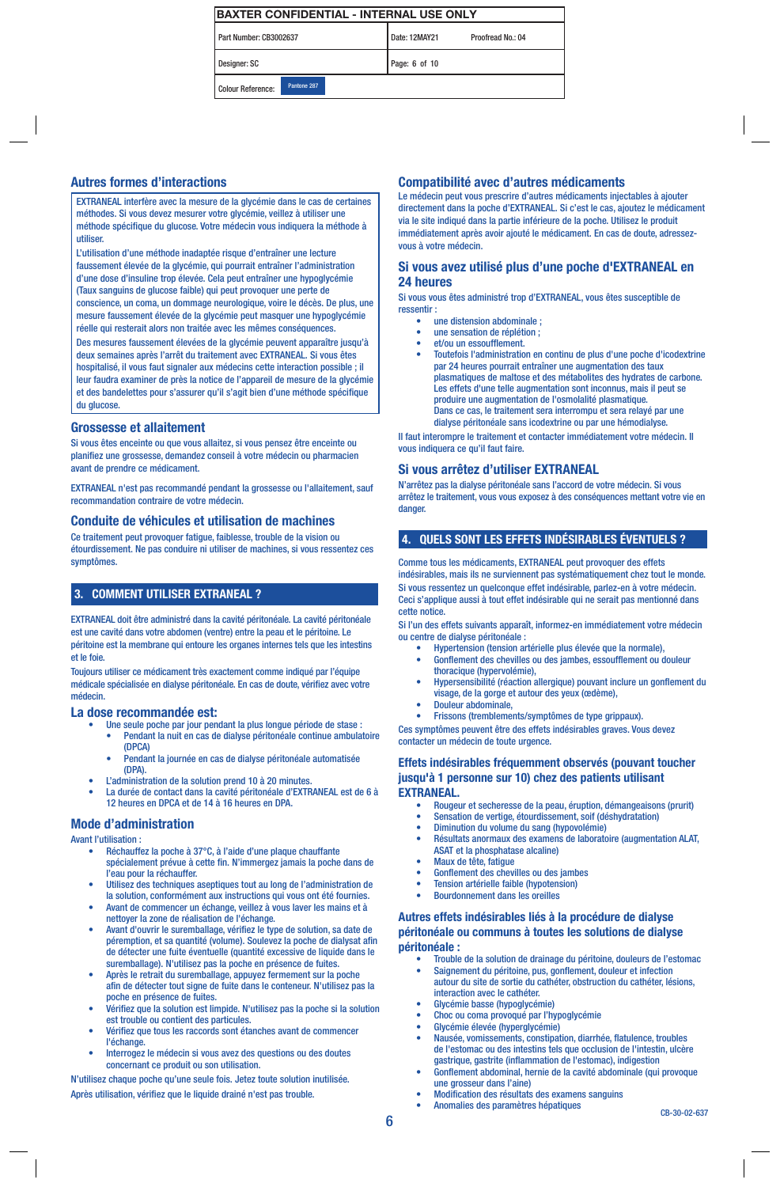| Part Number: CB3002637   |             | Date: 12MAY21 | Proofread No.: 04 |
|--------------------------|-------------|---------------|-------------------|
| Designer: SC             |             | Page: 6 of 10 |                   |
| <b>Colour Reference:</b> | Pantone 287 |               |                   |

#### Autres formes d'interactions

EXTRANEAL interfère avec la mesure de la glycémie dans le cas de certaines méthodes. Si vous devez mesurer votre glycémie, veillez à utiliser une méthode spécifique du glucose. Votre médecin vous indiquera la méthode à utiliser.

L'utilisation d'une méthode inadaptée risque d'entraîner une lecture faussement élevée de la glycémie, qui pourrait entraîner l'administration d'une dose d'insuline trop élevée. Cela peut entraîner une hypoglycémie (Taux sanguins de glucose faible) qui peut provoquer une perte de conscience, un coma, un dommage neurologique, voire le décès. De plus, une mesure faussement élevée de la glycémie peut masquer une hypoglycémie réelle qui resterait alors non traitée avec les mêmes conséquences. Des mesures faussement élevées de la glycémie peuvent apparaître jusqu'à deux semaines après l'arrêt du traitement avec EXTRANEAL. Si vous êtes hospitalisé, il vous faut signaler aux médecins cette interaction possible ; il leur faudra examiner de près la notice de l'appareil de mesure de la glycémie et des bandelettes pour s'assurer qu'il s'agit bien d'une méthode spécifique du glucose.

#### Grossesse et allaitement

Si vous êtes enceinte ou que vous allaitez, si vous pensez être enceinte ou planifiez une grossesse, demandez conseil à votre médecin ou pharmacien avant de prendre ce médicament.

EXTRANEAL n'est pas recommandé pendant la grossesse ou l'allaitement, sauf recommandation contraire de votre médecin.

#### Conduite de véhicules et utilisation de machines

Ce traitement peut provoquer fatigue, faiblesse, trouble de la vision ou étourdissement. Ne pas conduire ni utiliser de machines, si vous ressentez ces symptômes.

#### 3. COMMENT UTILISER EXTRANEAL ?

EXTRANEAL doit être administré dans la cavité péritonéale. La cavité péritonéale est une cavité dans votre abdomen (ventre) entre la peau et le péritoine. Le péritoine est la membrane qui entoure les organes internes tels que les intestins et le foie.

Toujours utiliser ce médicament très exactement comme indiqué par l'équipe médicale spécialisée en dialyse péritonéale. En cas de doute, vérifiez avec votre médecin.

#### La dose recommandée est:

- Une seule poche par jour pendant la plus longue période de stase : • Pendant la nuit en cas de dialyse péritonéale continue ambulatoire (DPCA)
	- Pendant la journée en cas de dialyse péritonéale automatisée (DPA).
- L'administration de la solution prend 10 à 20 minutes.
- La durée de contact dans la cavité péritonéale d'EXTRANEAL est de 6 à 12 heures en DPCA et de 14 à 16 heures en DPA.

#### Mode d'administration

Avant l'utilisation :

- Réchauffez la poche à 37°C, à l'aide d'une plaque chauffante spécialement prévue à cette fin. N'immergez jamais la poche dans de l'eau pour la réchauffer.
- Utilisez des techniques aseptiques tout au long de l'administration de la solution, conformément aux instructions qui vous ont été fournies.
- Avant de commencer un échange, veillez à vous laver les mains et à nettoyer la zone de réalisation de l'échange.
- Avant d'ouvrir le suremballage, vérifiez le type de solution, sa date de péremption, et sa quantité (volume). Soulevez la poche de dialysat afin de détecter une fuite éventuelle (quantité excessive de liquide dans le suremballage). N'utilisez pas la poche en présence de fuites.
- Après le retrait du suremballage, appuyez fermement sur la poche afin de détecter tout signe de fuite dans le conteneur. N'utilisez pas la poche en présence de fuites.
- Vérifiez que la solution est limpide. N'utilisez pas la poche si la solution est trouble ou contient des particules.
- Vérifiez que tous les raccords sont étanches avant de commencer l'échange.
- Interrogez le médecin si vous avez des questions ou des doutes concernant ce produit ou son utilisation.

N'utilisez chaque poche qu'une seule fois. Jetez toute solution inutilisée. Après utilisation, vérifiez que le liquide drainé n'est pas trouble.

#### Compatibilité avec d'autres médicaments

Le médecin peut vous prescrire d'autres médicaments injectables à ajouter directement dans la poche d'EXTRANEAL. Si c'est le cas, ajoutez le médicament via le site indiqué dans la partie inférieure de la poche. Utilisez le produit immédiatement après avoir ajouté le médicament. En cas de doute, adressezvous à votre médecin.

#### Si vous avez utilisé plus d'une poche d'EXTRANEAL en 24 heures

Si vous vous êtes administré trop d'EXTRANEAL, vous êtes susceptible de ressentir :

- une distension abdominale ;<br>
une concetion de réplétien
- une sensation de réplétion ; • et/ou un essoufflement.
- Toutefois l'administration en continu de plus d'une poche d'icodextrine par 24 heures pourrait entraîner une augmentation des taux plasmatiques de maltose et des métabolites des hydrates de carbone. Les effets d'une telle augmentation sont inconnus, mais il peut se produire une augmentation de l'osmolalité plasmatique. Dans ce cas, le traitement sera interrompu et sera relayé par une dialyse péritonéale sans icodextrine ou par une hémodialyse.

Il faut interompre le traitement et contacter immédiatement votre médecin. Il vous indiquera ce qu'il faut faire.

#### Si vous arrêtez d'utiliser EXTRANEAL

N'arrêtez pas la dialyse péritonéale sans l'accord de votre médecin. Si vous arrêtez le traitement, vous vous exposez à des conséquences mettant votre vie en danger.

#### 4. QUELS SONT LES EFFETS INDÉSIRABLES ÉVENTUELS ?

Comme tous les médicaments, EXTRANEAL peut provoquer des effets indésirables, mais ils ne surviennent pas systématiquement chez tout le monde. Si vous ressentez un quelconque effet indésirable, parlez-en à votre médecin. Ceci s'applique aussi à tout effet indésirable qui ne serait pas mentionné dans cette notice.

Si l'un des effets suivants apparaît, informez-en immédiatement votre médecin ou centre de dialyse péritonéale :

- Hypertension (tension artérielle plus élevée que la normale),
- Gonflement des chevilles ou des jambes, essoufflement ou douleur thoracique (hypervolémie),
- Hypersensibilité (réaction allergique) pouvant inclure un gonflement du visage, de la gorge et autour des yeux (œdème),
- Douleur abdominale,

• Frissons (tremblements/symptômes de type grippaux). Ces symptômes peuvent être des effets indésirables graves. Vous devez contacter un médecin de toute urgence.

#### Effets indésirables fréquemment observés (pouvant toucher jusqu'à 1 personne sur 10) chez des patients utilisant EXTRANEAL.

- Rougeur et secheresse de la peau, éruption, démangeaisons (prurit)
- Sensation de vertige, étourdissement, soif (déshydratation)
- Diminution du volume du sang (hypovolémie)
- Résultats anormaux des examens de laboratoire (augmentation ALAT, ASAT et la phosphatase alcaline)
- Maux de tête, fatigue
- Gonflement des chevilles ou des jambes • Tension artérielle faible (hypotension)
- Bourdonnement dans les oreilles
- Autres effets indésirables liés à la procédure de dialyse

### péritonéale ou communs à toutes les solutions de dialyse péritonéale :

- Trouble de la solution de drainage du péritoine, douleurs de l'estomac • Saignement du péritoine, pus, gonflement, douleur et infection autour du site de sortie du cathéter, obstruction du cathéter, lésions, interaction avec le cathéter.
- Glycémie basse (hypoglycémie)
- Choc ou coma provoqué par l'hypoglycémie
- Glycémie élevée (hyperglycémie)
- Nausée, vomissements, constipation, diarrhée, flatulence, troubles de l'estomac ou des intestins tels que occlusion de l'intestin, ulcère gastrique, gastrite (inflammation de l'estomac), indigestion
- Gonflement abdominal, hernie de la cavité abdominale (qui provoque une grosseur dans l'aine)
- Modification des résultats des examens sanguins • Anomalies des paramètres hépatiques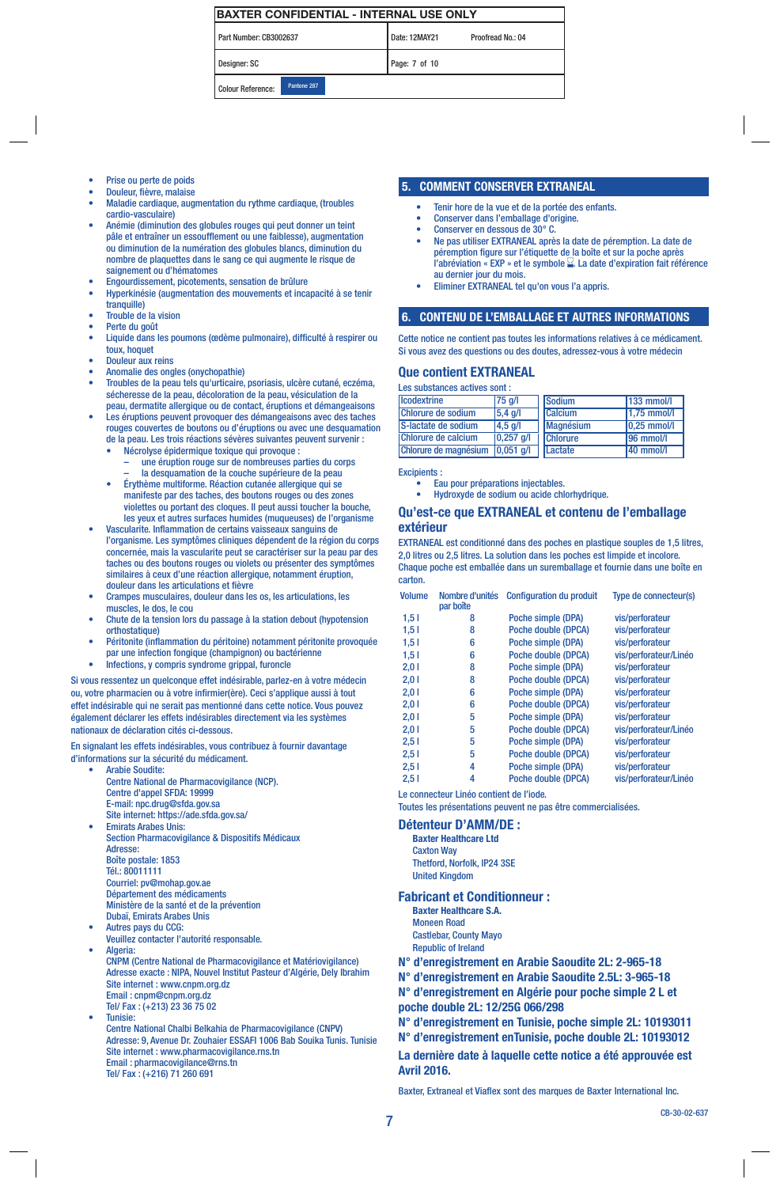| Part Number: CB3002637 |             | Date: 12MAY21 | Proofread No.: 04 |
|------------------------|-------------|---------------|-------------------|
| Designer: SC           |             | Page: 7 of 10 |                   |
| Colour Reference:      | Pantone 287 |               |                   |

- Prise ou perte de poids
- Douleur, fièvre, malaise
- Maladie cardiaque, augmentation du rythme cardiaque, (troubles cardio-vasculaire)
- Anémie (diminution des globules rouges qui peut donner un teint pâle et entraîner un essoufflement ou une faiblesse), augmentation ou diminution de la numération des globules blancs, diminution du nombre de plaquettes dans le sang ce qui augmente le risque de saignement ou d'hématomes
- Engourdissement, picotements, sensation de brûlure
- Hyperkinésie (augmentation des mouvements et incapacité à se tenir tranquille)
- Trouble de la vision
- Perte du goût
- Liquide dans les poumons (œdème pulmonaire), difficulté à respirer ou toux, hoquet
- Douleur aux reins
- Anomalie des ongles (onychopathie)
- Troubles de la peau tels qu'urticaire, psoriasis, ulcère cutané, eczéma, sécheresse de la peau, décoloration de la peau, vésiculation de la peau, dermatite allergique ou de contact, éruptions et démangeaisons
- Les éruptions peuvent provoquer des démangeaisons avec des taches rouges couvertes de boutons ou d'éruptions ou avec une desquamation de la peau. Les trois réactions sévères suivantes peuvent survenir :
	- Nécrolyse épidermique toxique qui provoque : – une éruption rouge sur de nombreuses parties du corps la desquamation de la couche supérieure de la peau
	- Érythème multiforme. Réaction cutanée allergique qui se manifeste par des taches, des boutons rouges ou des zones violettes ou portant des cloques. Il peut aussi toucher la bouche, les yeux et autres surfaces humides (muqueuses) de l'organisme
- Vascularite. Inflammation de certains vaisseaux sanguins de l'organisme. Les symptômes cliniques dépendent de la région du corps concernée, mais la vascularite peut se caractériser sur la peau par des taches ou des boutons rouges ou violets ou présenter des symptômes similaires à ceux d'une réaction allergique, notamment éruption, douleur dans les articulations et fièvre
- Crampes musculaires, douleur dans les os, les articulations, les muscles, le dos, le cou
- Chute de la tension lors du passage à la station debout (hypotension orthostatique)
- Péritonite (inflammation du péritoine) notamment péritonite provoquée
- par une infection fongique (champignon) ou bactérienne
- Infections, y compris syndrome grippal, furoncle

Si vous ressentez un quelconque effet indésirable, parlez-en à votre médecin ou, votre pharmacien ou à votre infirmier(ère). Ceci s'applique aussi à tout effet indésirable qui ne serait pas mentionné dans cette notice. Vous pouvez également déclarer les effets indésirables directement via les systèmes nationaux de déclaration cités ci-dessous.

En signalant les effets indésirables, vous contribuez à fournir davantage d'informations sur la sécurité du médicament.

- Arabie Soudite: Centre National de Pharmacovigilance (NCP). Centre d'appel SFDA: 19999 E-mail: npc.drug@sfda.gov.sa Site internet: https://ade.sfda.gov.sa/
- Section Pharmacovigilance & Dispositifs Médicaux Adresse: Boîte postale: 1853 Tél.: 80011111 Courriel: pv@mohap.gov.ae Département des médicaments
- Ministère de la santé et de la prévention Dubaï, Emirats Arabes Unis
- Autres pays du CCG:
- Veuillez contacter l'autorité responsable. Algeria:
- CNPM (Centre National de Pharmacovigilance et Matériovigilance) Adresse exacte : NIPA, Nouvel Institut Pasteur d'Algérie, Dely Ibrahim Site internet : www.cnpm.org.dz Email : cnpm@cnpm.org.dz Tel/ Fax : (+213) 23 36 75 02 • Tunisie:
- Centre National Chalbi Belkahia de Pharmacovigilance (CNPV) Adresse: 9, Avenue Dr. Zouhaier ESSAFI 1006 Bab Souika Tunis. Tunisie Site internet : www.pharmacovigilance.rns.tn Email : pharmacovigilance@rns.tn Tel/ Fax : (+216) 71 260 691

#### 5. COMMENT CONSERVER EXTRANEAL

- Tenir hore de la vue et de la portée des enfants.
- Conserver dans l'emballage d'origine.
- Conserver en dessous de 30° C.
- Ne pas utiliser EXTRANEAL après la date de péremption. La date de péremption figure sur l'étiquette de la boîte et sur la poche après l'abréviation « EXP » et le symbole  $\Sigma$ . La date d'expiration fait référence au dernier jour du mois.
- Eliminer EXTRANEAL tel qu'on vous l'a appris.

#### 6. CONTENU DE L'EMBALLAGE ET AUTRES INFORMATIONS

Cette notice ne contient pas toutes les informations relatives à ce médicament. Si vous avez des questions ou des doutes, adressez-vous à votre médecin

#### Que contient EXTRANEAL

| Les substances actives sont : |  |  |
|-------------------------------|--|--|
|-------------------------------|--|--|

| <b>Icodextrine</b>    | 75 g/l             | <b>Sodium</b>    | $133$ mmol/l            |
|-----------------------|--------------------|------------------|-------------------------|
| Chlorure de sodium    | $5,4$ g/l          | <b>Calcium</b>   | $1,75$ mmol/l           |
| S-lactate de sodium   | $ 4,5 \text{ q}/ $ | <b>Magnésium</b> | $ 0,25 \text{ mmol/l} $ |
| Chlorure de calcium   | $ 0,257 $ g/l      | <b>Chlorure</b>  | 196 mmol/l              |
| Chlorure de magnésium | 0,051 q            | Lactate          | 140 mmol/l              |

Excipients :

• Eau pour préparations injectables.

• Hydroxyde de sodium ou acide chlorhydrique.

#### Qu'est-ce que EXTRANEAL et contenu de l'emballage extérieur

EXTRANEAL est conditionné dans des poches en plastique souples de 1,5 litres, 2,0 litres ou 2,5 litres. La solution dans les poches est limpide et incolore. Chaque poche est emballée dans un suremballage et fournie dans une boîte en carton.

| <b>Volume</b> | Nombre d'unités<br>par boîte | <b>Configuration du produit</b> | Type de connecteur(s) |
|---------------|------------------------------|---------------------------------|-----------------------|
| 1,51          | 8                            | Poche simple (DPA)              | vis/perforateur       |
| 1,51          | 8                            | Poche double (DPCA)             | vis/perforateur       |
| 1,51          | 6                            | Poche simple (DPA)              | vis/perforateur       |
| 1,51          | 6                            | Poche double (DPCA)             | vis/perforateur/Linéo |
| 2,01          | 8                            | Poche simple (DPA)              | vis/perforateur       |
| 2,01          | 8                            | Poche double (DPCA)             | vis/perforateur       |
| 2,01          | 6                            | Poche simple (DPA)              | vis/perforateur       |
| 2,01          | 6                            | Poche double (DPCA)             | vis/perforateur       |
| 2,01          | 5                            | Poche simple (DPA)              | vis/perforateur       |
| 2,01          | 5                            | Poche double (DPCA)             | vis/perforateur/Linéo |
| 2,51          | 5                            | Poche simple (DPA)              | vis/perforateur       |
| 2,51          | 5                            | Poche double (DPCA)             | vis/perforateur       |
| 2,51          | 4                            | Poche simple (DPA)              | vis/perforateur       |
| 2,51          | 4                            | Poche double (DPCA)             | vis/perforateur/Linéo |

Le connecteur Linéo contient de l'iode. Toutes les présentations peuvent ne pas être commercialisées.

## Détenteur D'AMM/DE :

Baxter Healthcare Ltd Caxton Way Thetford, Norfolk, IP24 3SE United Kingdom

#### Fabricant et Conditionneur :

- Baxter Healthcare S.A. Moneen Road Castlebar, County Mayo
- Republic of Ireland
- N° d'enregistrement en Arabie Saoudite 2L: 2-965-18
- N° d'enregistrement en Arabie Saoudite 2.5L: 3-965-18

N° d'enregistrement en Algérie pour poche simple 2 L et poche double 2L: 12/25G 066/298

N° d'enregistrement en Tunisie, poche simple 2L: 10193011

N° d'enregistrement enTunisie, poche double 2L: 10193012

La dernière date à laquelle cette notice a été approuvée est Avril 2016.

Baxter, Extraneal et Viaflex sont des marques de Baxter International Inc.

**Emirats Arabes Unis:**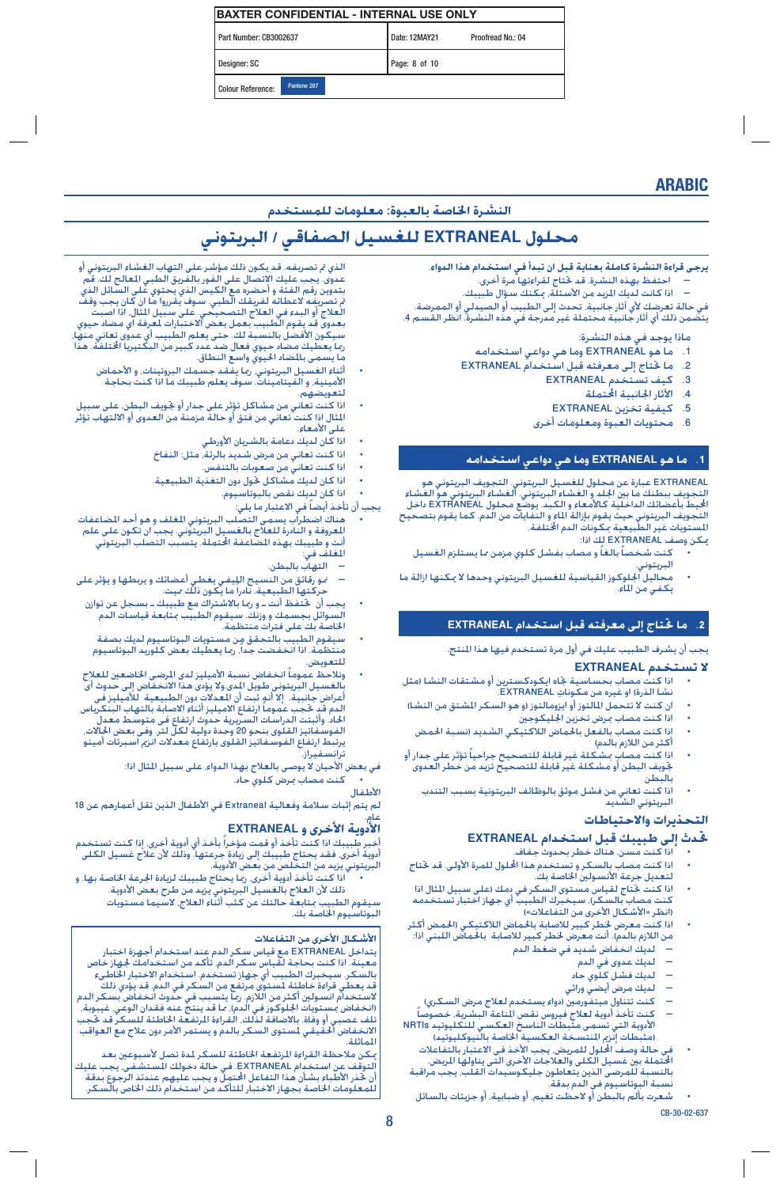| <b>IBAXTER CONFIDENTIAL - INTERNAL USE ONLY</b> |             |  |               |                   |  |
|-------------------------------------------------|-------------|--|---------------|-------------------|--|
| Part Number: CB3002637                          |             |  | Date: 12MAY21 | Proofread No.: 04 |  |
| Designer: SC                                    |             |  | Page: 8 of 10 |                   |  |
| Colour Reference:                               | Pantone 287 |  |               |                   |  |

## ARABIC

### **النشرة اخلاصة بالعبوة: معلومات للمستخدم**

# **محلول EXTRANEAL للغسيل الصفاقي / البريتوني**

**يرجى قراءة النشرة كاملة بعناية قبل ان تبدأ في استخدام هذا الدواء.**

- � احتفظ بهذه النشرة. قد حتتاج لقراءتها مرة أخرى.
- اذا كانت لديك المزيد من الأسئلة، مكنك سؤال طبيبك.

يت حتملة محتملة غيرة مدرجة في مستخدر عدد انظر القسم .<br>في حالة تعرضك لأي آثار جانبية، تحدث إلى الطبيب أو الصيدلي أو الممرضة.<br>يتضمن ذلك أي آثار جانبية محتملة غير مدرجة في هذه النشرة. انظر القسم 4.

- ماذا يوجد في هذه النشرة:
- 1. ما هو EXTRANEAL وما هي دواعي استخدامه<br>2 ما ختاج الي معرفته قبل استخدام TRANEAL
- 2. ما حَتاج إلى معرفته قبل استخدام EXTRANEAL<br>3. كـنف تستخدم EXTRANEAL
	- 3. كيف تستخدم EXTRANEAL<br>4. الآثار الحانبية الجتملة
		- 4. الآثار الجانبية الحتملة<br>5. كـنفية تخزين NEAL
	- .5 كيفية تخزين EXTRANEAL
	- .6 محتويات العبوة ومعلومات أخرى

#### **.1 ما هو EXTRANEAL وما هي دواعي استخدامه**

EXTRANEAL عبارة عن محلول للغسيل البريتوني. التجويف البريتوني هو التجويف ببطنك ما بني اجللد و الغشاء البريتوني. الغشاء البريتوني هو الغشاء الحيط بأعضائك الداخلية كالأمعاء و الكبد. يوضع محلول EXTRANEAL داخل التجويف البريتوني حيث يقوم بإزالة الماء و النفايات من الدم. كما يقوم بتصحيح<br>المستويات غير الطبيعية بمكونات الدم ا<del>ل</del>ختلفة.

ميكن وصف EXTRANEAL لك اذا:

- 
- كنت شخصاً بالغاً و مصاب بفشل كلوي مزمن ما يستلزم الغسيل<br>البريتوني.
- محاليل الجلوكوز القياسية للغسيل البريتوني وحدها لا مكنها ازالة ما<br>يكفي من الماء.

#### **.2 ما حتتاج إلى معرفته قبل استخدام EXTRANEAL**

يجب أن يشرف الطبيب عليك في أول مرة تستخدم فيها هذا املنتج.

- 
- **لا تستخدم EXTRANEAL**<br>• اذا كنت مصاب بحساسية جاه ايكودكسترين أو مشتقات النشا (مثل<br>نشا الذرة) او غيره من مكوناتِ EXTRANEAL.<br>• ان كنت لا تتحمل المالتوز أو ايزومالتوز (و هو السكر الشتق من النشا)
	- - اذا كنت مصاب مبرض تخزين اجلليكوجني
		- -
- اذا كنت مصاب بالفعل بالحماض اللاكتيكي الشديد (نسبة الحمض<br>أكثر من اللازم بالدم)<br>اذا كنت مصاب بشكلة غير قابلة للتصحيح جراحياً تؤثر على جدار أو جّويف البطن أو مشكلة غير قابلة للتصحيح تزيد من خطر العدوى بالبطن
	- اذا كنت تعاني من فشل موثق بالوظائف البريتونية بسبب التندب<br>البريتوني الشديد

### **التحذيرات واالحتياطات**

#### **حتدث إلى طبيبك قبل استخدام EXTRANEAL**

- اذا كنت مسن. هناك خطر بحدوث جفاف.
- اذا كنت مصاب بالسكر و تستخدم هذا الحلول للمرة الأولى. قد ختاج<br>لتعديل جرعة الأنسولين الخاصة بك.
- اذا كنت ختاج لقياس مستوى السكر في دمك (على سبيل الثال اذا<br>كنت مصاب بالسكر). سيخبرك الطبيب أي جهاز اختبار تستخدمه<br>(انظر «الأشكال الأخرى من التفاعلات»)<br>اذا كنت معرض لخطر كبير للاصابة بالحماض اللاكتيكي (الحمض أكثر
- من اللازم بالدم). أنت معرض خطر كبير للاصابة بالحماض اللبني اذا:
	- � لديك انخفاض شديد في ضغط الدم
		- � لديك عدوى في الدم
		- —.<br>— لديك فشل كلوي حاد
		-
	- لديك مرض أيضي وراثي<br>كنت تتناول ميتفورمين (دواء يستخدم لعلاج مرض السكري)
- كنت تتناول ميتفورمين (دواء يستخدم لعلاج مرض السكري)<br>– كنت تأخذ أدوية لعلاج فيروس نقص الناعة البشرية. خصوصاً<br>الأدوية التي تسمى مثبطات الناسخ العكسـي للنكليوتيد NRTIs (مثبطات إنزم المنتسخة العكسية الخاصة بالنيوكليوتيد)
- فى حالة وصف الحلول للمريض. يجب الأخذ فى الاعتبار بالتفاعلات<br>الحتملة بين غسيل الكلى والعلاجات الأخرى التى يناولها الريض. بالنسبة للمرضى الذين يتعاطون جليكوسيدات القلب، يجب مراقبة نسبة البوتاسيوم فى الدم بدقة.
- شعرت بألم بالبطن أو الحظت تغيم، أو ضبابية، أو جزيئات بالسائل

الذي تم تصريفه. قد يكون ذلك مؤشر على التهاب الغشاء البريتوني أو عدوى. يجب عليك الإتصال على الفور بالفريق الطبي المعالج لك. قم بتدوين رقم الفئة و أحضره مع الكيس الذي يحتوي على السائل الذي م تصريفه لاعطائه لفريقك الطبي. سوف يقرروا ما ان كان يجب وقف<br>العلاج أو البدء في العلاج التصحيحي. على سبيل الثال. اذا اصبت<br>بعدوى قد يقوم الطبيب بعمل بعض الاختبارات لعرفة اي مضاد حيوي سيكون الأفضلَ بالنسبة لك. حتى يعلم الطبيب أي عدوى تعاني منها، رمبا يعطيك مضاد حيوي فعال ضد عدد كبير من البكتيريا اخملتلفة. هذا ربة يستعينه بسبب.<br>ما يسمى بالمضاد الحيوي واسع النطاق.

- اء<br>أثناء الغسيل البريتوني. رما يفقد جسمك البروتينات. و الأحماض<br>الأمينية. و الفيتامينات. سوف يعلم طبيبك ما اذا كنت بحاجة لتعويضهم.
- اذا كنّت تعاني من مشاكل تؤثر على جدار أو جُويف البطن. على سبيل<br>الثال اذا كنت تعاني من فتق أو حالة مزمنة من العدوى أو الالتهاب تؤثر<br>على الأمعاء.
	- اذا كان لديك دعامة بالشريان األورطي
	- اذا كنت تعاني من مرض شديد بالرئة، مثل: النفاخ
		- اذا كنت تعاني من صعوبات بالتنفس.
	- اذا كان لديك مشاكل حتول دون التغذية الطبيعية.
		- اذا كان لديك نقص بالبوتاسيوم.
			- .<br>بجب أن تأخذ أيضاً في الاعتبار ما يلي:
- هناك أضطراب يسمى التصلب البريتوني الغلف و هو أحد الضاعفات<br>العروفة و النادرة للعلاج بالغسيل البريتوني. يجب ان تكون على علم<br>أنت و طبيبك بهذه الضاعفة الحتملة. يتسبب التصلب البريتوني .<br>المغلف في:
	- � التهاب بالبطن.
- حورقائق من النسيج الليفي يغطي أعضائك و يربطها و يؤثر على<br>حركتها الطبيعية. نادراً ما يكون ذلك ميت.
- السوائل بجسمك و وزنك. سيقوم الطبيب مبتابعة قياسات الدم يجب أن حتتفظ أنت ـ و رمبا باالشتراك مع طبيبك ـ بسجل عن توازن اخلاصة بك على فترات منتظمة.
- سيقوم الطبيب بالتحقق من مستويات البوتاسيوم لديك بصفة<br>منتظمة. اذا انخفضت جداً. رما يعطيك بعض كلوريد البوتاسيوم للتعويض.
- ونلاحظ عموماً انخفاض نسبة الأميليز لدى الرضى الخاضعين للعلاج<br> إلغسيل البريتوني طويل الدى ولا يؤدى هذا الانخفاض إلى حدوث أى أعراض جانبية. إلا أنه ثبت أن العدلات دون الطبيعية للأميليز فى<br>الدم قد حجب عموماً ارتفاع الاميليز أثناء الاصابة بالتهاب البنكرياس<br>الحاد. وأثبتت الدراسات السريرية حدوث ارتفاع فى متوسط معدل الفوسفين القلومين القلومين القلومين.<br>الحاد. وأثبتت الدراسات السريرية حدوث ارتفاع فى متوسط معدل<br>الفوسفاتيز القلوى بنحو 20 وحدة دولية لكل لتر. وفى بعض الحالات. يرتبط ارتفاع الفوسفاتيز القلوى بارتفاع معدالت انزمي اسبرتات أمينو ترانسفيراز.
	- في بعض الأحيان لا يوصى بالعلاج بهذا الدواء. على سبيل المثال اذا: • كنت مصاب مبرض كلوي حاد.
		- األطفال

لم يتم إثبات سالمة وفعالية Extraneal في األطفال الذين تقل أعمارهم عن 18

# عام.<br>**الأدوية الأخرى و EXTRANEAL**

أخبر طبيبك اذا كنت تأخذ أو قمت مؤخراً بأخذ أي أدوية أخرى. إذا كنت تستخدم أدوية أخرى. فقد بحتاج طبيبك إلى زيادة جرعتها. وذلك لأن علاج غسيل الكلى أ<br>البريتوني يزيد من التخلص من بعض الأدوية.<br>• اذا كنت تأخذ أدوية أخرى. رما يحتاج طبيبك لزيادة الجرعة الخاصة بها. و

• اذا كنت تأخذ أدوية أخرى. رما يحتاج طبيبك لزيادة الجرعة الخاصة بها. و<br>• اذا كنت تأخذ أدوية بالنياد البريتوني يزيد من طرح بعض الأدوية.

سيقوم الطبيب مبتابعة حالتك عن كثب أثناء العالج، السيما مستويات البوتاسيوم اخلاصة بك.

#### **األشكال األخرى من التفاعالت**

يتداخل EXTRANEAL مع قياس سكر الدم عند استخدام أجهزة اختبار معينة. اذا كنت بحاجة لقياس سكر الدم، تأكد من استخدامك جلهاز خاص بالسكر. سيخبرك الطبيب أي جهاز تستخدم. استخدام االختبار اخلاطىء قد يعطي قراءة خاطئة لستوى مرتفع من السكر في الدم. قد يؤدي ذلك<br>لاستخدام انسولين أكثر من اللازم. رما يتسبب في حدوث انخفاض بسكر الدم )انخفاض مبستويات اجللوكوز في الدم(، مما قد ينتج عنه فقدان الوعي، غيبوبة، تلف عصبي أو وفاة. باالضافة لذلك، القراءة املرتفعة اخلاطئة للسكر قد حتجب الانخفاض ألحقيقي لستوى السكر بالدم و يستمر الأمر دون علاج مع العواقب<br>الماثلة.

مكن ملاحظة القراءة المرتفعة الخاطئة للسكر لمدة تصل لأسبوعين بعد التوقف عن استخدام EXTRANEAL. في حالة دخولك المستشفى. يجب عليك<br>أن خذر الأطباء بشأن هذا التفاعل الحتمل و يجب عليهم عندئذ الرجوع بدقة للمعلومات اخلاصة بجهاز االختبار للتأكد من استخدام ذلك اخلاص بالسكر.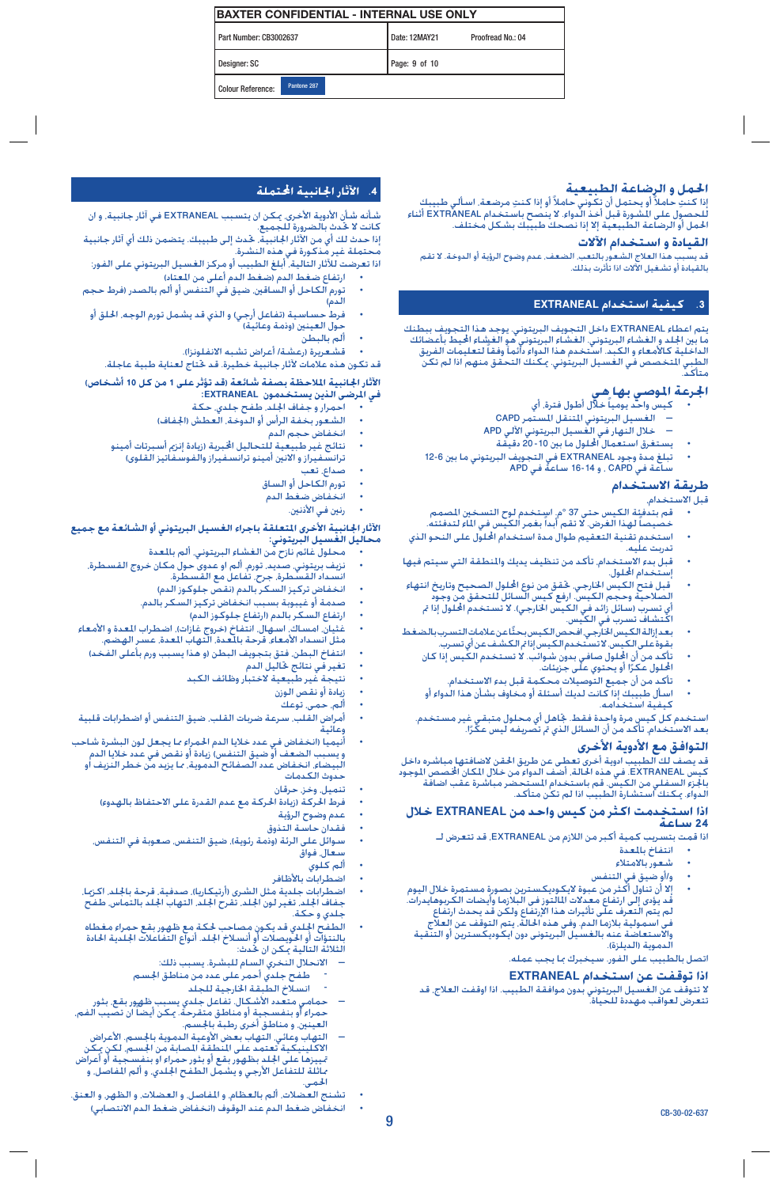| <b>IBAXTER CONFIDENTIAL - INTERNAL USE ONLY</b> |                                    |  |  |  |
|-------------------------------------------------|------------------------------------|--|--|--|
| Part Number: CB3002637                          | Date: 12MAY21<br>Proofread No.: 04 |  |  |  |
| Designer: SC                                    | Page: 9 of 10                      |  |  |  |
| Pantone 287<br><b>Colour Reference:</b>         |                                    |  |  |  |

#### **احلمل و الرضاعة الطبيعية**

الصح**ص و الرضاعية الصحيحية.**<br>إذا كنت حاملاً أو يحتمل أن تكوني حاملاً أو إذا كنتِ مرضعة. اسـألـي طبيبك<br>للحصول علـى الـشـورة قبل أخـذ الدواء. لا ينصح باستخدام EXTRANEAL أثناء<br>الحمل أو الرضاعة الطبيعية إلا إذا نصحك طبيبك بشك

#### **القيادة و استخدام اآلالت**

قد يسبب هذا العالج الشعور بالتعب، الضعف، عدم وضوح الرؤية أو الدوخة. ال تقم بالقيادة أو تشغيل اآلالت اذا تأثرت بذلك.

#### **.3 كيفية استخدام EXTRANEAL**

بتم اعطاء EXTRANEAL داخل التجويف البريتوني. يوجد هذا التجويف ببطنك<br>ما بين الجلد و الغشاء البريتوني. الغشاء البريتوني هو الغيشاء الخيط بأعضائك الداخلية كاألمعاء و الكبد. استخدم هذا الدواء دائمآ وفقاً لتعليمات الفريق الطبي التخصص في الغسيل البريتوني. مكنك التحقق منهم اذا لم تكن<br>متأكد

- **الجرعـة الموصـي بـهـا هـي**<br>• كيس واحد يومياً خلال أطـول فترة. أي
- $\blacksquare$  الغسيل البريتوني المتنقل المستمر CAPD
- � خالل النهار في الغسيل البريتوني اآللي APD
	- يستغرق استعمال احمللول ما بني 20-10 دقيقة
- .<br>تبلغ مدة وجود EXTRANEAL في التجويف البريتوني ما بين 6-12<br>ساعة في CAPD , و 14-16 ساعة في APD

#### **طريقة االستخدام**

قبل االستخدام،

- 
- قم بتدفئة الكيس حتى 37 °م. استخدم لوح التسخين الصمم<br>خصيصاً لهذا الغرض. لا تقم أبداً بغمر الكيس في الماء لتدفئته.
- استخدم تقنية التعقيم طوال مدة استخدام الحلول على النحو الذي<br>تدربت عليه.
- قبل بدء الاستخدام. تأكد من تنظيف يديك والمنطقة التي سيتم فيها.<br>إستخدام الحلول.
- قبل فتح الكيس الخارجي. كقق من نوع الحلول الصحيح وتاريخ انتهاء<br>إلصلاحية وحجم الكيس. ارفع كيس السائل للتحقق من وجود أي تسرب (سائل زائد في الكيس الخارجي). لا تستخدم الحلول إذا مّ<br>اكتشاف تسرب في الكيس.
- بعد إزالة الكيس الخارجي. افحص الكيس بحثًا عن علامات التسرب بالضغد<br>بقوة على الكيس. لا تستخدم الكيس إذا م الكشف عن أي تسرب.
	- تأكد من أن الحلول صافي بدون شوائب. لا تستخدم الكيس إذا كان<br>الحلول عكرًا أو يحتوي على جزيئات.
	- تأكد من أن جميع التوصيالت محكمة قبل بدء االستخدام. اسأل طبيبك إذا كانت لديك أسئلة أو مخاوف بشأن هذا الدواء أو<br>كيفية استخدامه.
		-

استخدم كل كيسٍ مرة واحِدة فقط. جٓاهل أي محلول متبقي غير مستخدم. بعد الاستخدام. تأكد من أن السائل الذي تم تصريفه ليس عكَرًا.

**التوافق مع الأدوية الأخرى**<br>قد يصف لك الطبيب ادوية أخرى تعطى عن طريق ا<del>ل</del>حقن لاضافتها مباشره داخل كيس EXTRANEAL. في هذه احلالة، أضف الدواء من خالل املكان اخملصص املوجود بالجزء السفلي من الكيس. قم باستخدام المستحضر مباشرة عقب اضافة<br>الدواء. <sub>ت</sub>كنك استشارة الطبيب اذا لم تكن متأكد.

# **<sup>24</sup> ساعة اذا استخدمت اكثر من كيس واحد من EXTRANEAL خالل**

اذا قمت بتسريب كمية أكبر من الالزم من EXTRANEAL، قد تتعرض لـ

- انتفاخ بالمعدة
- شعور باالمتالء
- و/أو ضيق في التنفس
- إلا أن تناول أكثر من عبوة لايكوديكسترين بصورة مستمرة خلال اليوم<br>فد يؤدى إلى ارتفاع معدلات الملتوز فى البلازما وأيضات الكربوهايدرات.<br>لم يتم التعرف على تأثيرات هذا الإرتفاع ولكن قد يحدث ارتفاع فى استمولية بلازما الدم. وفى هذه الحالة. يتم التوقف عن العلاج<br>والاستعاضة عنه بالغسيل البريتونى دون ايكوديكسترين أو التنقية .<br>الدموية (الديلزة).

اتصل بالطبيب على الفور. سيخبرك مبا يجب عمله.

#### **اذا توقفت عن استخدام EXTRANEAL**

ال تتوقف عن الغسيل البريتوني بدون موافقة الطبيب. اذا اوقفت العالج، قد تتعرض لعواقب مهددة للحياة.

#### **.4 اآلثار اجلانبية احملتملة**

شأنه شأن الأدوية الأخرى. مكن ان يتسبب EXTRANEAL في آثار جانبية. و ان كانت لا خّدث بالضرورة للجميع.

إذا حدث لك أي من اآلثار اجلانبية، حتدث إلى طبيبك. يتضمن ذلك أي آثار جانبية محتملة غير مذكورة في هذه النشرة.

- اذا تعرضت لآلثار التالية، أبلغ الطبيب أو مركز الغسيل البريتوني على الفور: • ارتفاع ضغط الدم )ضغط الدم أعلى من املعتاد(
- .<br>تورم الكاحل أو الساقين. ضيق في التنفس أو ألم بالصدر (فرط حجم<br>الدم)
- فرط حساسية (تفاعل أرجي) و الذي قد يشمل تورم الوجه. الحلق أو<br>حول العينين (وذمة وعائية)
	- ألم بالبطن
	- قشعريرة (رعشة/ أعراض تشبه الانفلونزا).
	- قد تكون هذه عالمات آلثار جانبية خطيرة. قد حتتاج لعناية طبية عاجلة.

# **في املرضى الذين يستخدمون EXTRANEAL: اآلثار اجلانبية املالحظة بصفة شائعة )قد تؤثر على 1 من كل 10 أشخاص(**

- احمرار و جفاف اجللد، طفح جلدي، حكة
- الشعور بخفة الرأس أو الدوخة، العطش )اجلفاف(
	-
	-
- انخفاض حجم الدم<br>نتائج غير طبيعية للتحاليل ا<del>لخ</del>برية (زيادة إنزم أسبرتات أمينو
	- ترانسفيراز و الانين أمينو ترانسفيراز والفوسفاتيز القلوى)
		- صداع، تعب
		- تورم الكاحل أو الساق • انخفاض ضغط الدم
			-
			- رنين في الأذنين.

# الأثار ا<del>ج</del>انبية الأخرى التعلقة باجراء الغسيل البريتوني أو الشائعة مع جميع<br>محاليل الغسيل البريتوني:

- محلول غائم نازح من الغشاء البريتوني، ألم باملعدة
- .<br>نزيف بريتوني، صديد. تورم، ألم او عدوى حول مكان خروج القسطرة.<br>انسداد القسطرة. جرح. تفاعل مع القسطرة.
	- انخفاض تركيز السكر بالدم )نقص جلوكوز الدم(
	- صدمة أو غيبوبة بسبب انخفاض تركيز السكر بالدم.
		- ارتفاع السكر بالدم (ارتفاع جلوكوز الدم)
- .<br>غثيان. امسـاك. اسـهال. انتفـاخ (خـروج غـازات). اضطراب المعدة و الأمـعـاء<br>مثل انسـداد الأمـعـاء. قـرحـة بـالـعـدة. الـتهـاب المعـدة. عسـر الـهضـم.
	- انتفاخ البطن. فتق بتجويف البطن (و هذا يسبب ورم بأعلى الفخد)
		- تغير في نتائج حتاليل الدم
			-
			- نتيجة غير طبيعية الختبار وظائف الكبد
				- زيادة أو نقص الوزن
				- ألم، حمى، توعك
- أمراض القلب. سرعة ضربات القلب. ضيق التنفس أو اضطرابات قلبية<br>معائية
- أنيميا (انخفاض في عدد خلايا الدم الحمراء ما يجعل لون البشرة شاحب<br>و يسبب الضعف أو ضيق التنفس) زيادة أو نقص في عدد خلايا الدم البيضاء، انخفاض عدد الصفائح الدموية، مما يزيد من خطر النزيف او حدوث الكدمات
	- تنميل، وخز، حرقان
	- فرط الحركة (زيادة الحركة مع عدم القدرة على الاحتفاظ بالهدوء)
		- عدم وضوح الرؤية
			- فقدان حاسة التذوق
	- سـوائل عـلـى الرئة (وذمة رئوية). ضيـق التنفـس. صـعـوبـة فـي التنفـس.<br>سـعـال. فـواق
		- ألم كلوي
		-
	- اضطرابات بالأظافر<br>اضطرابات جلدية مثل الشرى (أرتيكاريا). صدفية. قرحة بالجلد. اكزيـا. جفاف اجللد، تغير لون اجللد، تقرح اجللد، التهاب اجللد بالتماس، طفح • اضطرابات جلدية مثل الشرى )أرتيكاريا(، صدفية، قرحة باجللد، اكزميا، جلدي و حكة.
	- الطفح الجلدي قد يكون مصاحب لحكة مع ظهور بقع حمراء مغطاه<br>بالنتؤات أو الحويصلات أو أنسلاخ الجلد. أنواع التفاعلات الجلدية الحادة الثالثة التالية ميكن ان حتدث:
		- $-$  الانحلال النخري السام للبشرة. يسبب ذلك:
		- طفح جلدي أحمر على عدد من مناطق اجلسم
			- انسالخ الطبقة اخلارجية للجلد
- حمامي متعدد الأشكال. تفاعل جلدي بسبب ظهور بقع. بثور<br>حمراء أو بنفسجية أو مناطق متقرحة. مكن أيضاً ان تصيب الفم.<br>العينين. و مناطق أخرى رطبة بالجسم.<br>التهاب وعائي. التهاب بعض الأوعية الدموية بالجسم. الأعراض
- التهاب وعائي التهاب بعض الأوعية الدموية باجسم. الأعراض<br>الاكلينيكية تعتمد على النطقة الصابة من اجسم. لكن يكن مبيزها على الجلد بظهور بقع أو بثور حمراء او بنفسيجية أو أعراض<br>ماثلة للتفاعل الأرجي و يشمل الطفح الجلدي. و ألم المفاصل. و<br>الحمي.
- تشنج العضالت، ألم بالعظام، و املفاصل، و العضالت، و الظهر، و العنق.
	- انخفاض ضغط الدم عند الوقوف (انخفاض ضغط الدم الانتصابي)